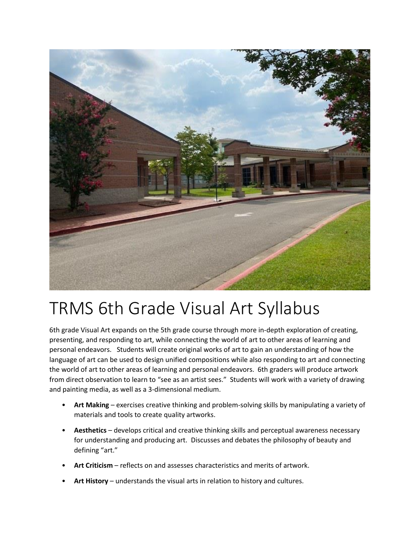

# TRMS 6th Grade Visual Art Syllabus

6th grade Visual Art expands on the 5th grade course through more in-depth exploration of creating, presenting, and responding to art, while connecting the world of art to other areas of learning and personal endeavors. Students will create original works of art to gain an understanding of how the language of art can be used to design unified compositions while also responding to art and connecting the world of art to other areas of learning and personal endeavors. 6th graders will produce artwork from direct observation to learn to "see as an artist sees." Students will work with a variety of drawing and painting media, as well as a 3-dimensional medium.

- **Art Making** exercises creative thinking and problem-solving skills by manipulating a variety of materials and tools to create quality artworks.
- **Aesthetics**  develops critical and creative thinking skills and perceptual awareness necessary for understanding and producing art. Discusses and debates the philosophy of beauty and defining "art."
- **Art Criticism**  reflects on and assesses characteristics and merits of artwork.
- Art History understands the visual arts in relation to history and cultures.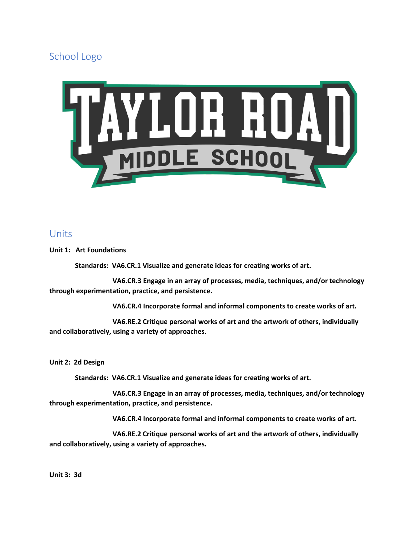School Logo



#### Units

**Unit 1: Art Foundations**

 **Standards: VA6.CR.1 Visualize and generate ideas for creating works of art.**

 **VA6.CR.3 Engage in an array of processes, media, techniques, and/or technology through experimentation, practice, and persistence.**

 **VA6.CR.4 Incorporate formal and informal components to create works of art.**

 **VA6.RE.2 Critique personal works of art and the artwork of others, individually and collaboratively, using a variety of approaches.**

**Unit 2: 2d Design**

 **Standards: VA6.CR.1 Visualize and generate ideas for creating works of art.**

 **VA6.CR.3 Engage in an array of processes, media, techniques, and/or technology through experimentation, practice, and persistence.**

 **VA6.CR.4 Incorporate formal and informal components to create works of art.**

 **VA6.RE.2 Critique personal works of art and the artwork of others, individually and collaboratively, using a variety of approaches.**

**Unit 3: 3d**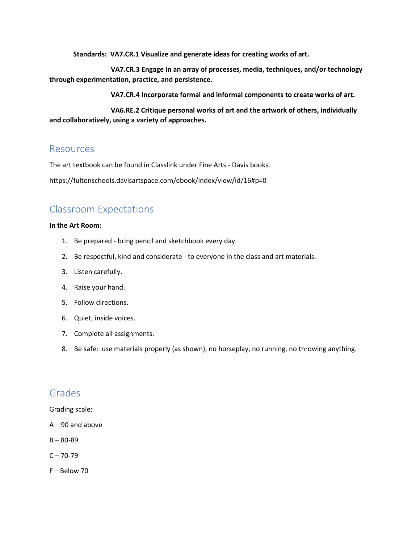**Standards: VA7.CR.1 Visualize and generate ideas for creating works of art.**

 **VA7.CR.3 Engage in an array of processes, media, techniques, and/or technology through experimentation, practice, and persistence.**

 **VA7.CR.4 Incorporate formal and informal components to create works of art.**

 **VA6.RE.2 Critique personal works of art and the artwork of others, individually and collaboratively, using a variety of approaches.**

#### Resources

The art textbook can be found in Classlink under Fine Arts - Davis books.

https://fultonschools.davisartspace.com/ebook/index/view/id/16#p=0

## Classroom Expectations

#### **In the Art Room:**

- 1. Be prepared bring pencil and sketchbook every day.
- 2. Be respectful, kind and considerate to everyone in the class and art materials.
- 3. Listen carefully.
- 4. Raise your hand.
- 5. Follow directions.
- 6. Quiet, inside voices.
- 7. Complete all assignments.
- 8. Be safe: use materials properly (as shown), no horseplay, no running, no throwing anything.

## Grades

Grading scale:

- A 90 and above
- $B 80 89$
- $C 70-79$
- F Below 70